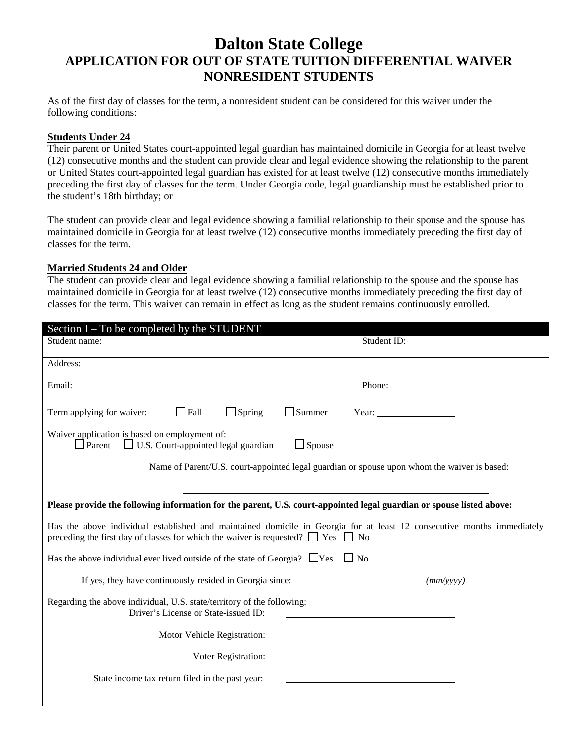# **Dalton State College APPLICATION FOR OUT OF STATE TUITION DIFFERENTIAL WAIVER NONRESIDENT STUDENTS**

As of the first day of classes for the term, a nonresident student can be considered for this waiver under the following conditions:

## **Students Under 24**

Their parent or United States court-appointed legal guardian has maintained domicile in Georgia for at least twelve (12) consecutive months and the student can provide clear and legal evidence showing the relationship to the parent or United States court-appointed legal guardian has existed for at least twelve (12) consecutive months immediately preceding the first day of classes for the term. Under Georgia code, legal guardianship must be established prior to the student's 18th birthday; or

The student can provide clear and legal evidence showing a familial relationship to their spouse and the spouse has maintained domicile in Georgia for at least twelve (12) consecutive months immediately preceding the first day of classes for the term.

### **Married Students 24 and Older**

The student can provide clear and legal evidence showing a familial relationship to the spouse and the spouse has maintained domicile in Georgia for at least twelve (12) consecutive months immediately preceding the first day of classes for the term. This waiver can remain in effect as long as the student remains continuously enrolled.

| Section I – To be completed by the STUDENT                                                                                                                                                                           |             |
|----------------------------------------------------------------------------------------------------------------------------------------------------------------------------------------------------------------------|-------------|
| Student name:                                                                                                                                                                                                        | Student ID: |
| Address:                                                                                                                                                                                                             |             |
| Email:                                                                                                                                                                                                               | Phone:      |
| $\Box$ Spring<br>$\Box$ Summer<br>Term applying for waiver:<br>$\Box$ Fall<br>Year:                                                                                                                                  |             |
| Waiver application is based on employment of:<br>$\Box$ Parent<br>$\Box$ U.S. Court-appointed legal guardian<br>$\Box$ Spouse                                                                                        |             |
| Name of Parent/U.S. court-appointed legal guardian or spouse upon whom the waiver is based:                                                                                                                          |             |
|                                                                                                                                                                                                                      |             |
| Please provide the following information for the parent, U.S. court-appointed legal guardian or spouse listed above:                                                                                                 |             |
| Has the above individual established and maintained domicile in Georgia for at least 12 consecutive months immediately<br>preceding the first day of classes for which the waiver is requested? $\Box$ Yes $\Box$ No |             |
| Has the above individual ever lived outside of the state of Georgia? $\Box$ Yes $\Box$ No                                                                                                                            |             |
| If yes, they have continuously resided in Georgia since:                                                                                                                                                             | (mm/yyyy)   |
| Regarding the above individual, U.S. state/territory of the following:<br>Driver's License or State-issued ID:                                                                                                       |             |
| Motor Vehicle Registration:                                                                                                                                                                                          |             |
| Voter Registration:                                                                                                                                                                                                  |             |
| State income tax return filed in the past year:                                                                                                                                                                      |             |
|                                                                                                                                                                                                                      |             |